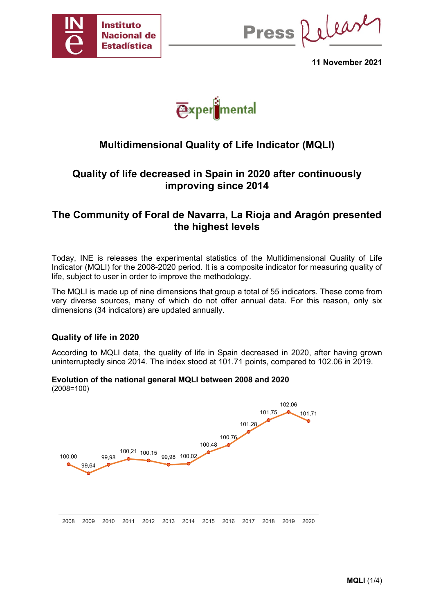

Press Release

**11 November 2021**



# **Multidimensional Quality of Life Indicator (MQLI)**

## **Quality of life decreased in Spain in 2020 after continuously improving since 2014**

## **The Community of Foral de Navarra, La Rioja and Aragón presented the highest levels**

Today, INE is releases the experimental statistics of the Multidimensional Quality of Life Indicator (MQLI) for the 2008-2020 period. It is a composite indicator for measuring quality of life, subject to user in order to improve the methodology.

The MQLI is made up of nine dimensions that group a total of 55 indicators. These come from very diverse sources, many of which do not offer annual data. For this reason, only six dimensions (34 indicators) are updated annually.

### **Quality of life in 2020**

According to MQLI data, the quality of life in Spain decreased in 2020, after having grown uninterruptedly since 2014. The index stood at 101.71 points, compared to 102.06 in 2019.

#### **Evolution of the national general MQLI between 2008 and 2020**  (2008=100)

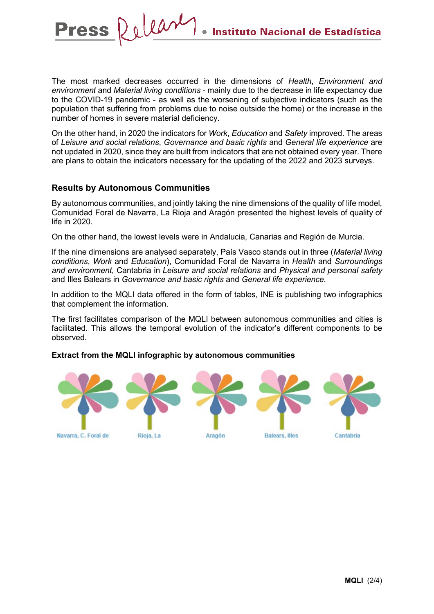The most marked decreases occurred in the dimensions of *Health*, *Environment and environment* and *Material living conditions* - mainly due to the decrease in life expectancy due to the COVID-19 pandemic - as well as the worsening of subjective indicators (such as the population that suffering from problems due to noise outside the home) or the increase in the number of homes in severe material deficiency.

On the other hand, in 2020 the indicators for *Work*, *Education* and *Safety* improved. The areas of *Leisure and social relations*, *Governance and basic rights* and *General life experience* are not updated in 2020, since they are built from indicators that are not obtained every year. There are plans to obtain the indicators necessary for the updating of the 2022 and 2023 surveys.

### **Results by Autonomous Communities**

Delear

**Press** 

By autonomous communities, and jointly taking the nine dimensions of the quality of life model, Comunidad Foral de Navarra, La Rioja and Aragón presented the highest levels of quality of life in 2020.

On the other hand, the lowest levels were in Andalucia, Canarias and Región de Murcia.

If the nine dimensions are analysed separately, País Vasco stands out in three (*Material living conditions*, *Work* and *Education*), Comunidad Foral de Navarra in *Health* and *Surroundings and environment*, Cantabria in *Leisure and social relations* and *Physical and personal safety* and Illes Balears in *Governance and basic rights* and *General life experience.* 

In addition to the MQLI data offered in the form of tables, INE is publishing two infographics that complement the information.

The first facilitates comparison of the MQLI between autonomous communities and cities is facilitated. This allows the temporal evolution of the indicator's different components to be observed.

#### **Extract from the MQLI infographic by autonomous communities**

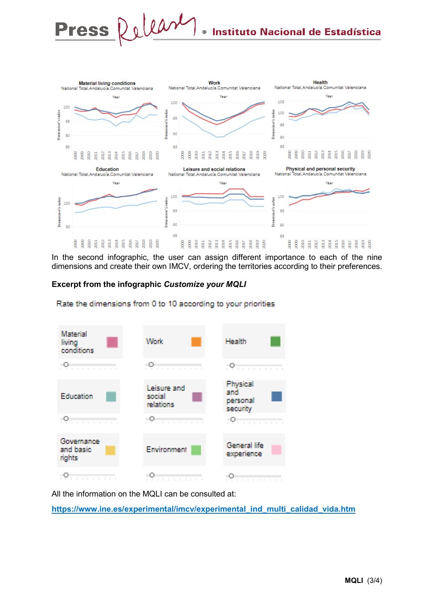

In the second infographic, the user can assign different importance to each of the nine dimensions and create their own IMCV, ordering the territories according to their preferences.

### **Excerpt from the infographic** *Customize your MQLI*



Rate the dimensions from 0 to 10 according to your priorities

All the information on the MQLI can be consulted at:

**[https://www.ine.es/experimental/imcv/experimental\\_ind\\_multi\\_calidad\\_vida.htm](https://www.ine.es/experimental/imcv/experimental_ind_multi_calidad_vida.htm)**